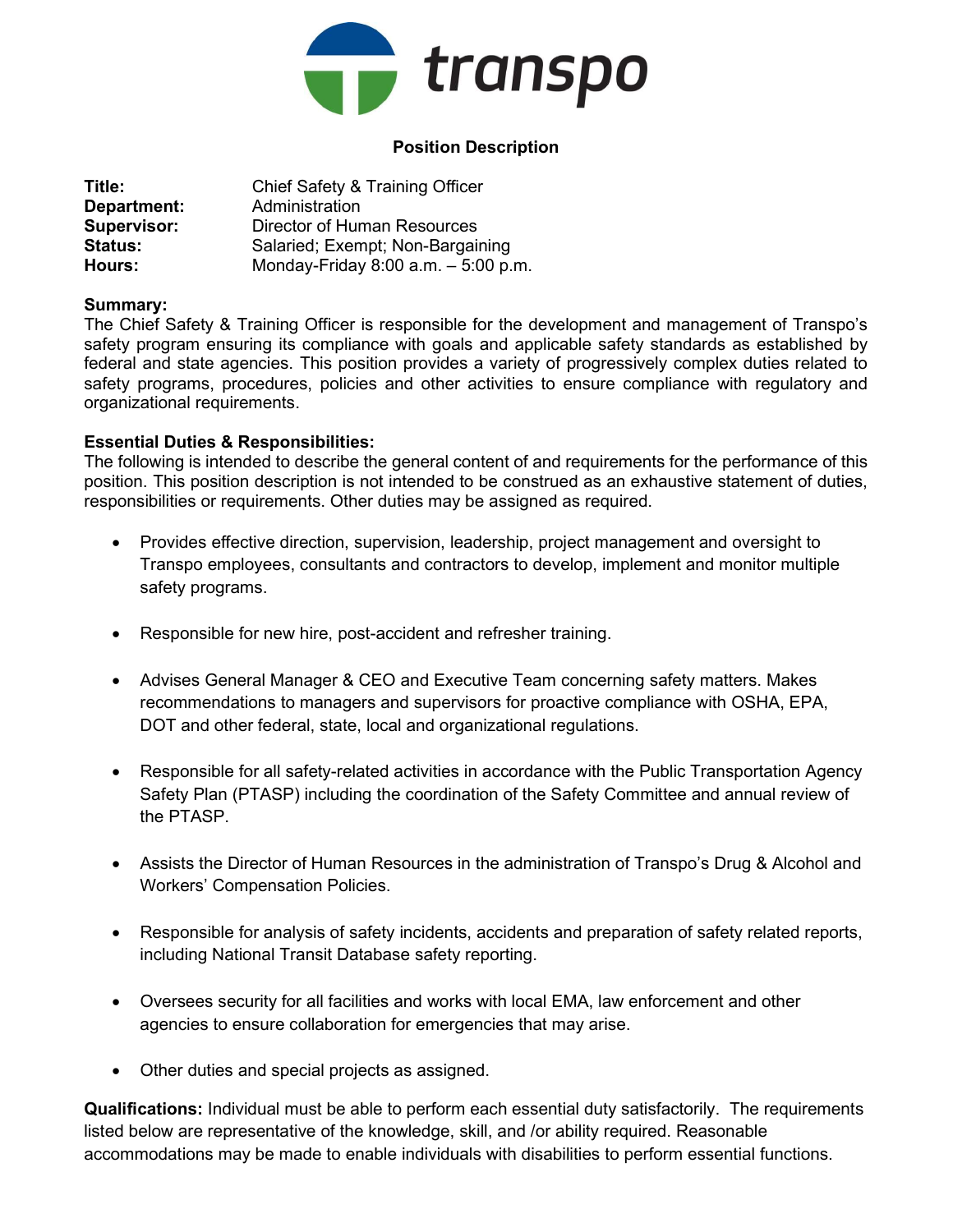

# Position Description

| Title:             | Chief Safety & Training Officer     |
|--------------------|-------------------------------------|
| Department:        | Administration                      |
| <b>Supervisor:</b> | Director of Human Resources         |
| <b>Status:</b>     | Salaried; Exempt; Non-Bargaining    |
| Hours:             | Monday-Friday 8:00 a.m. - 5:00 p.m. |

#### Summary:

The Chief Safety & Training Officer is responsible for the development and management of Transpo's safety program ensuring its compliance with goals and applicable safety standards as established by federal and state agencies. This position provides a variety of progressively complex duties related to safety programs, procedures, policies and other activities to ensure compliance with regulatory and organizational requirements.

#### Essential Duties & Responsibilities:

The following is intended to describe the general content of and requirements for the performance of this position. This position description is not intended to be construed as an exhaustive statement of duties, responsibilities or requirements. Other duties may be assigned as required.

- Provides effective direction, supervision, leadership, project management and oversight to Transpo employees, consultants and contractors to develop, implement and monitor multiple safety programs.
- Responsible for new hire, post-accident and refresher training.
- Advises General Manager & CEO and Executive Team concerning safety matters. Makes recommendations to managers and supervisors for proactive compliance with OSHA, EPA, DOT and other federal, state, local and organizational regulations.
- Responsible for all safety-related activities in accordance with the Public Transportation Agency Safety Plan (PTASP) including the coordination of the Safety Committee and annual review of the PTASP.
- Assists the Director of Human Resources in the administration of Transpo's Drug & Alcohol and Workers' Compensation Policies.
- Responsible for analysis of safety incidents, accidents and preparation of safety related reports, including National Transit Database safety reporting.
- Oversees security for all facilities and works with local EMA, law enforcement and other agencies to ensure collaboration for emergencies that may arise.
- Other duties and special projects as assigned.

Qualifications: Individual must be able to perform each essential duty satisfactorily. The requirements listed below are representative of the knowledge, skill, and /or ability required. Reasonable accommodations may be made to enable individuals with disabilities to perform essential functions.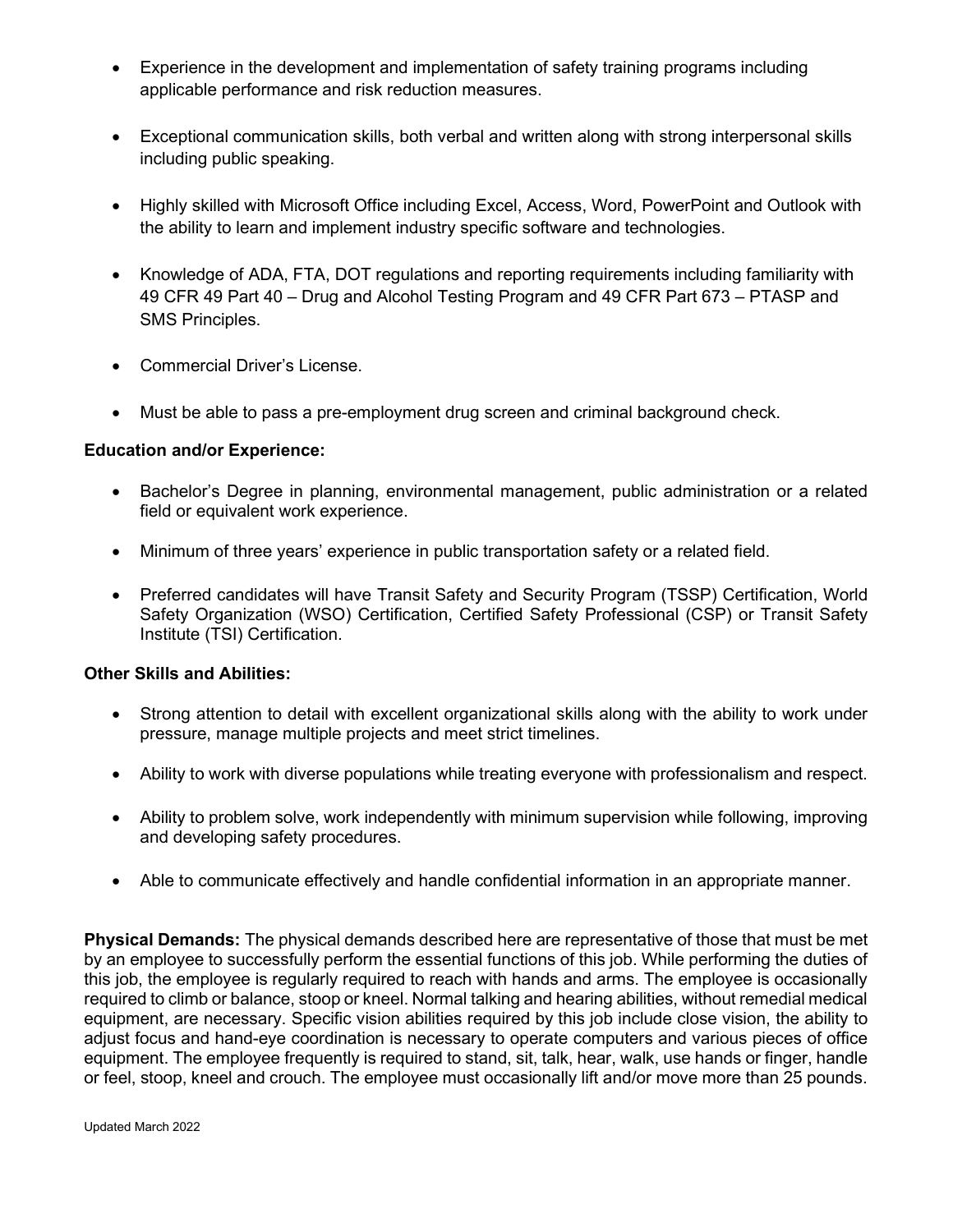- Experience in the development and implementation of safety training programs including applicable performance and risk reduction measures.
- Exceptional communication skills, both verbal and written along with strong interpersonal skills including public speaking.
- Highly skilled with Microsoft Office including Excel, Access, Word, PowerPoint and Outlook with the ability to learn and implement industry specific software and technologies.
- Knowledge of ADA, FTA, DOT regulations and reporting requirements including familiarity with 49 CFR 49 Part 40 – Drug and Alcohol Testing Program and 49 CFR Part 673 – PTASP and SMS Principles.
- Commercial Driver's License.
- Must be able to pass a pre-employment drug screen and criminal background check.

### Education and/or Experience:

- Bachelor's Degree in planning, environmental management, public administration or a related field or equivalent work experience.
- Minimum of three years' experience in public transportation safety or a related field.
- Preferred candidates will have Transit Safety and Security Program (TSSP) Certification, World Safety Organization (WSO) Certification, Certified Safety Professional (CSP) or Transit Safety Institute (TSI) Certification.

### Other Skills and Abilities:

- Strong attention to detail with excellent organizational skills along with the ability to work under pressure, manage multiple projects and meet strict timelines.
- Ability to work with diverse populations while treating everyone with professionalism and respect.
- Ability to problem solve, work independently with minimum supervision while following, improving and developing safety procedures.
- Able to communicate effectively and handle confidential information in an appropriate manner.

Physical Demands: The physical demands described here are representative of those that must be met by an employee to successfully perform the essential functions of this job. While performing the duties of this job, the employee is regularly required to reach with hands and arms. The employee is occasionally required to climb or balance, stoop or kneel. Normal talking and hearing abilities, without remedial medical equipment, are necessary. Specific vision abilities required by this job include close vision, the ability to adjust focus and hand-eye coordination is necessary to operate computers and various pieces of office equipment. The employee frequently is required to stand, sit, talk, hear, walk, use hands or finger, handle or feel, stoop, kneel and crouch. The employee must occasionally lift and/or move more than 25 pounds.